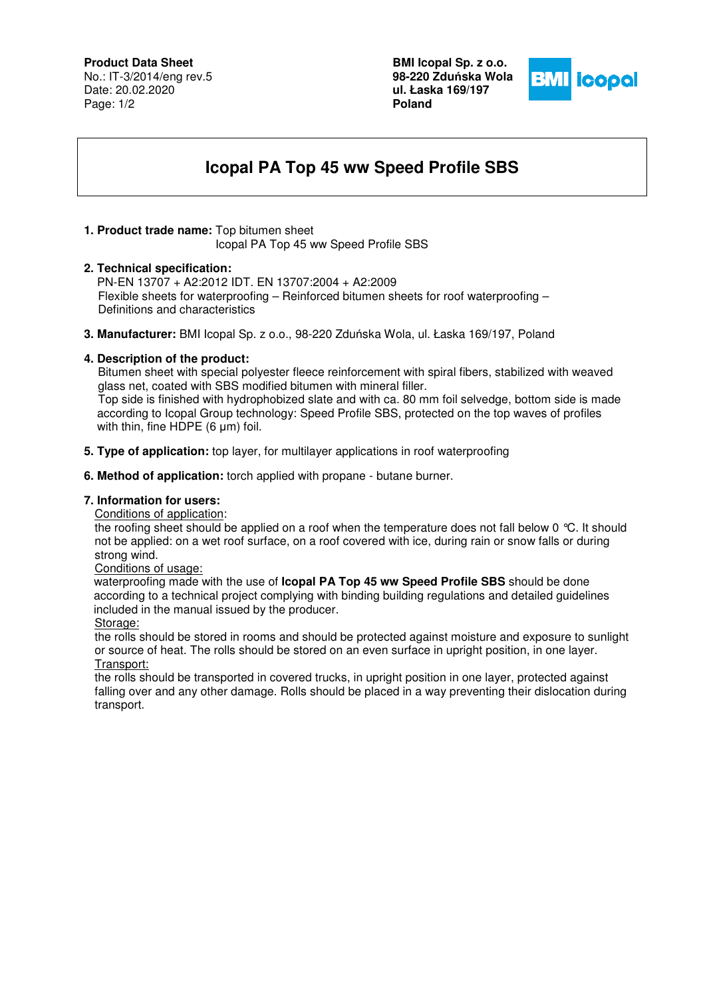### **Product Data Sheet**

No.: IT-3/2014/eng rev.5 Date: 20.02.2020 Page: 1/2

**BMI Icopal Sp. z o.o. 98-220 Zdu**ń**ska Wola ul. Łaska 169/197 Poland** 



# **Icopal PA Top 45 ww Speed Profile SBS**

## **1. Product trade name:** Top bitumen sheet

Icopal PA Top 45 ww Speed Profile SBS

#### **2. Technical specification:**

PN-EN 13707 + A2:2012 IDT. EN 13707:2004 + A2:2009 Flexible sheets for waterproofing – Reinforced bitumen sheets for roof waterproofing – Definitions and characteristics

**3. Manufacturer:** BMI Icopal Sp. z o.o., 98-220 Zduńska Wola, ul. Łaska 169/197, Poland

#### **4. Description of the product:**

 Bitumen sheet with special polyester fleece reinforcement with spiral fibers, stabilized with weaved glass net, coated with SBS modified bitumen with mineral filler. Top side is finished with hydrophobized slate and with ca. 80 mm foil selvedge, bottom side is made according to Icopal Group technology: Speed Profile SBS, protected on the top waves of profiles with thin, fine HDPE (6 μm) foil.

- **5. Type of application:** top layer, for multilayer applications in roof waterproofing
- **6. Method of application:** torch applied with propane butane burner.

#### **7. Information for users:**

Conditions of application:

the roofing sheet should be applied on a roof when the temperature does not fall below 0 °C. It should not be applied: on a wet roof surface, on a roof covered with ice, during rain or snow falls or during strong wind.

Conditions of usage:

 waterproofing made with the use of **Icopal PA Top 45 ww Speed Profile SBS** should be done according to a technical project complying with binding building regulations and detailed guidelines included in the manual issued by the producer.

Storage:

the rolls should be stored in rooms and should be protected against moisture and exposure to sunlight or source of heat. The rolls should be stored on an even surface in upright position, in one layer. Transport:

the rolls should be transported in covered trucks, in upright position in one layer, protected against falling over and any other damage. Rolls should be placed in a way preventing their dislocation during transport.